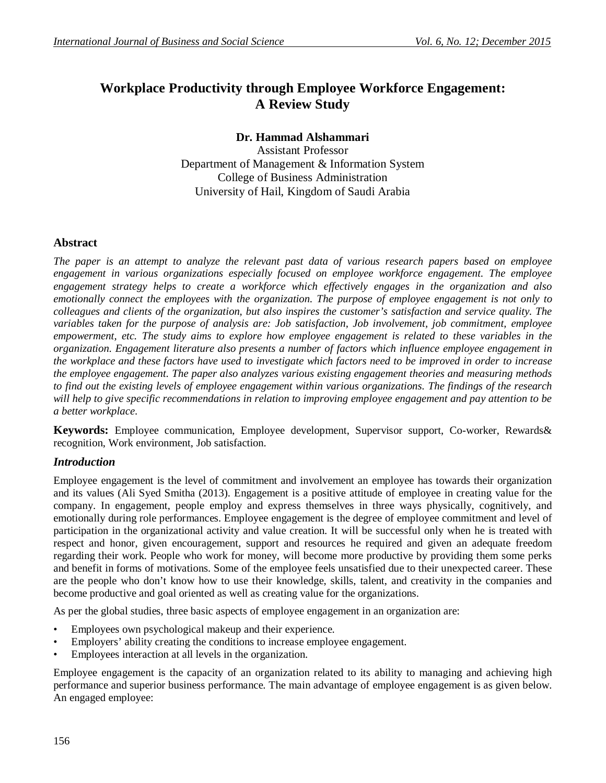# **Workplace Productivity through Employee Workforce Engagement: A Review Study**

## **Dr. Hammad Alshammari**

Assistant Professor Department of Management & Information System College of Business Administration University of Hail, Kingdom of Saudi Arabia

## **Abstract**

*The paper is an attempt to analyze the relevant past data of various research papers based on employee engagement in various organizations especially focused on employee workforce engagement. The employee engagement strategy helps to create a workforce which effectively engages in the organization and also emotionally connect the employees with the organization. The purpose of employee engagement is not only to colleagues and clients of the organization, but also inspires the customer's satisfaction and service quality. The variables taken for the purpose of analysis are: Job satisfaction, Job involvement, job commitment, employee empowerment, etc. The study aims to explore how employee engagement is related to these variables in the organization. Engagement literature also presents a number of factors which influence employee engagement in the workplace and these factors have used to investigate which factors need to be improved in order to increase the employee engagement. The paper also analyzes various existing engagement theories and measuring methods to find out the existing levels of employee engagement within various organizations. The findings of the research will help to give specific recommendations in relation to improving employee engagement and pay attention to be a better workplace*.

**Keywords:** Employee communication, Employee development, Supervisor support, Co-worker, Rewards& recognition, Work environment, Job satisfaction.

## *Introduction*

Employee engagement is the level of commitment and involvement an employee has towards their organization and its values (Ali Syed Smitha (2013). Engagement is a positive attitude of employee in creating value for the company. In engagement, people employ and express themselves in three ways physically, cognitively, and emotionally during role performances. Employee engagement is the degree of employee commitment and level of participation in the organizational activity and value creation. It will be successful only when he is treated with respect and honor, given encouragement, support and resources he required and given an adequate freedom regarding their work. People who work for money, will become more productive by providing them some perks and benefit in forms of motivations. Some of the employee feels unsatisfied due to their unexpected career. These are the people who don't know how to use their knowledge, skills, talent, and creativity in the companies and become productive and goal oriented as well as creating value for the organizations.

As per the global studies, three basic aspects of employee engagement in an organization are:

- Employees own psychological makeup and their experience.
- Employers' ability creating the conditions to increase employee engagement.
- Employees interaction at all levels in the organization.

Employee engagement is the capacity of an organization related to its ability to managing and achieving high performance and superior business performance. The main advantage of employee engagement is as given below. An engaged employee: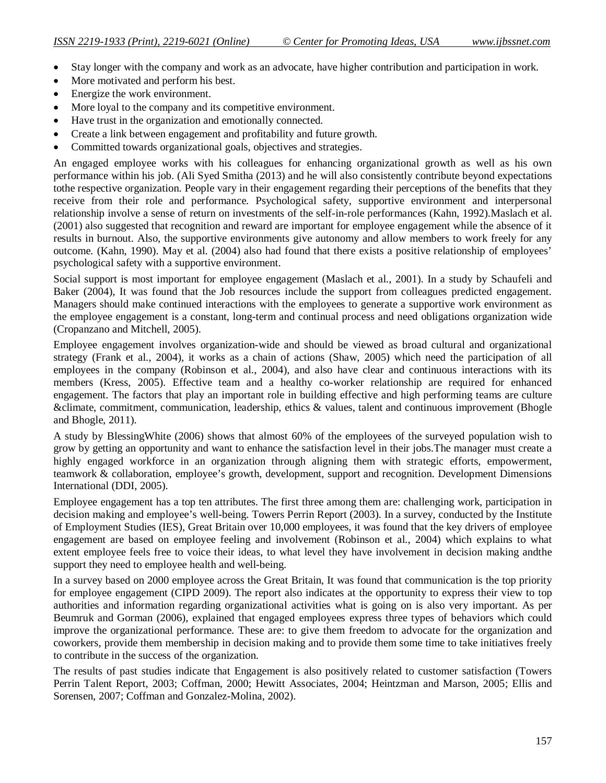- Stay longer with the company and work as an advocate, have higher contribution and participation in work.
- More motivated and perform his best.
- Energize the work environment.
- More loyal to the company and its competitive environment.
- Have trust in the organization and emotionally connected.
- Create a link between engagement and profitability and future growth.
- Committed towards organizational goals, objectives and strategies.

An engaged employee works with his colleagues for enhancing organizational growth as well as his own performance within his job. (Ali Syed Smitha (2013) and he will also consistently contribute beyond expectations tothe respective organization. People vary in their engagement regarding their perceptions of the benefits that they receive from their role and performance. Psychological safety, supportive environment and interpersonal relationship involve a sense of return on investments of the self-in-role performances (Kahn, 1992).Maslach et al. (2001) also suggested that recognition and reward are important for employee engagement while the absence of it results in burnout. Also, the supportive environments give autonomy and allow members to work freely for any outcome. (Kahn, 1990). May et al. (2004) also had found that there exists a positive relationship of employees' psychological safety with a supportive environment.

Social support is most important for employee engagement (Maslach et al., 2001). In a study by Schaufeli and Baker (2004), It was found that the Job resources include the support from colleagues predicted engagement. Managers should make continued interactions with the employees to generate a supportive work environment as the employee engagement is a constant, long-term and continual process and need obligations organization wide (Cropanzano and Mitchell, 2005).

Employee engagement involves organization-wide and should be viewed as broad cultural and organizational strategy (Frank et al., 2004), it works as a chain of actions (Shaw, 2005) which need the participation of all employees in the company (Robinson et al., 2004), and also have clear and continuous interactions with its members (Kress, 2005). Effective team and a healthy co-worker relationship are required for enhanced engagement. The factors that play an important role in building effective and high performing teams are culture &climate, commitment, communication, leadership, ethics & values, talent and continuous improvement (Bhogle and Bhogle, 2011).

A study by BlessingWhite (2006) shows that almost 60% of the employees of the surveyed population wish to grow by getting an opportunity and want to enhance the satisfaction level in their jobs.The manager must create a highly engaged workforce in an organization through aligning them with strategic efforts, empowerment, teamwork & collaboration, employee's growth, development, support and recognition. Development Dimensions International (DDI, 2005).

Employee engagement has a top ten attributes. The first three among them are: challenging work, participation in decision making and employee's well-being. Towers Perrin Report (2003). In a survey, conducted by the Institute of Employment Studies (IES), Great Britain over 10,000 employees, it was found that the key drivers of employee engagement are based on employee feeling and involvement (Robinson et al., 2004) which explains to what extent employee feels free to voice their ideas, to what level they have involvement in decision making andthe support they need to employee health and well-being.

In a survey based on 2000 employee across the Great Britain, It was found that communication is the top priority for employee engagement (CIPD 2009). The report also indicates at the opportunity to express their view to top authorities and information regarding organizational activities what is going on is also very important. As per Beumruk and Gorman (2006), explained that engaged employees express three types of behaviors which could improve the organizational performance. These are: to give them freedom to advocate for the organization and coworkers, provide them membership in decision making and to provide them some time to take initiatives freely to contribute in the success of the organization.

The results of past studies indicate that Engagement is also positively related to customer satisfaction (Towers Perrin Talent Report, 2003; Coffman, 2000; Hewitt Associates, 2004; Heintzman and Marson, 2005; Ellis and Sorensen, 2007; Coffman and Gonzalez-Molina, 2002).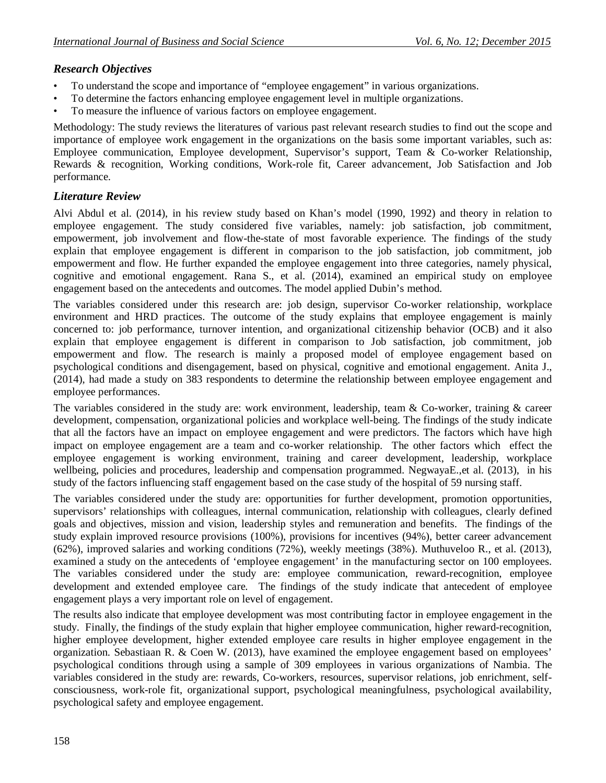## *Research Objectives*

- To understand the scope and importance of "employee engagement" in various organizations.
- To determine the factors enhancing employee engagement level in multiple organizations.
- To measure the influence of various factors on employee engagement.

Methodology: The study reviews the literatures of various past relevant research studies to find out the scope and importance of employee work engagement in the organizations on the basis some important variables, such as: Employee communication, Employee development, Supervisor's support, Team & Co-worker Relationship, Rewards & recognition, Working conditions, Work-role fit, Career advancement, Job Satisfaction and Job performance.

## *Literature Review*

Alvi Abdul et al. (2014), in his review study based on Khan's model (1990, 1992) and theory in relation to employee engagement. The study considered five variables, namely: job satisfaction, job commitment, empowerment, job involvement and flow-the-state of most favorable experience. The findings of the study explain that employee engagement is different in comparison to the job satisfaction, job commitment, job empowerment and flow. He further expanded the employee engagement into three categories, namely physical, cognitive and emotional engagement. Rana S., et al. (2014), examined an empirical study on employee engagement based on the antecedents and outcomes. The model applied Dubin's method.

The variables considered under this research are: job design, supervisor Co-worker relationship, workplace environment and HRD practices. The outcome of the study explains that employee engagement is mainly concerned to: job performance, turnover intention, and organizational citizenship behavior (OCB) and it also explain that employee engagement is different in comparison to Job satisfaction, job commitment, job empowerment and flow. The research is mainly a proposed model of employee engagement based on psychological conditions and disengagement, based on physical, cognitive and emotional engagement. Anita J., (2014), had made a study on 383 respondents to determine the relationship between employee engagement and employee performances.

The variables considered in the study are: work environment, leadership, team & Co-worker, training & career development, compensation, organizational policies and workplace well-being. The findings of the study indicate that all the factors have an impact on employee engagement and were predictors. The factors which have high impact on employee engagement are a team and co-worker relationship. The other factors which effect the employee engagement is working environment, training and career development, leadership, workplace wellbeing, policies and procedures, leadership and compensation programmed. NegwayaE.,et al. (2013), in his study of the factors influencing staff engagement based on the case study of the hospital of 59 nursing staff.

The variables considered under the study are: opportunities for further development, promotion opportunities, supervisors' relationships with colleagues, internal communication, relationship with colleagues, clearly defined goals and objectives, mission and vision, leadership styles and remuneration and benefits. The findings of the study explain improved resource provisions (100%), provisions for incentives (94%), better career advancement (62%), improved salaries and working conditions (72%), weekly meetings (38%). Muthuveloo R., et al. (2013), examined a study on the antecedents of 'employee engagement' in the manufacturing sector on 100 employees. The variables considered under the study are: employee communication, reward-recognition, employee development and extended employee care. The findings of the study indicate that antecedent of employee engagement plays a very important role on level of engagement.

The results also indicate that employee development was most contributing factor in employee engagement in the study. Finally, the findings of the study explain that higher employee communication, higher reward-recognition, higher employee development, higher extended employee care results in higher employee engagement in the organization. Sebastiaan R. & Coen W. (2013), have examined the employee engagement based on employees' psychological conditions through using a sample of 309 employees in various organizations of Nambia. The variables considered in the study are: rewards, Co-workers, resources, supervisor relations, job enrichment, selfconsciousness, work-role fit, organizational support, psychological meaningfulness, psychological availability, psychological safety and employee engagement.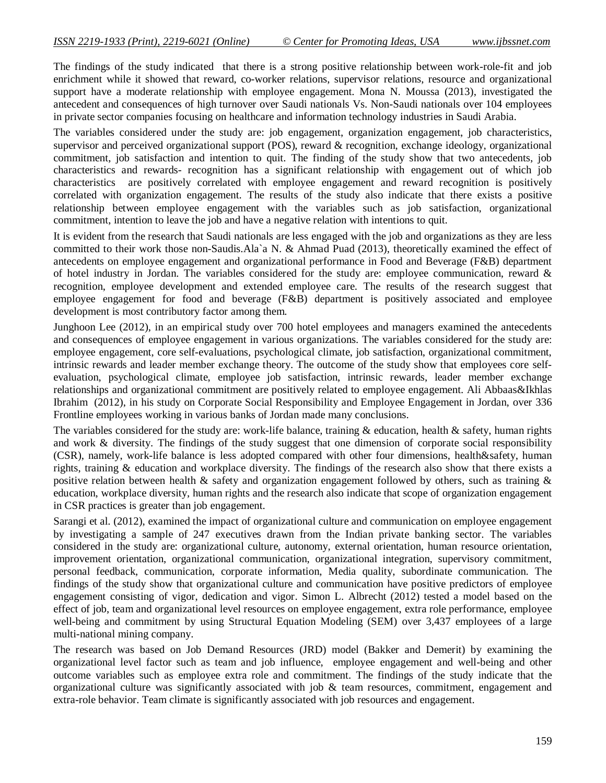The findings of the study indicated that there is a strong positive relationship between work-role-fit and job enrichment while it showed that reward, co-worker relations, supervisor relations, resource and organizational support have a moderate relationship with employee engagement. Mona N. Moussa (2013), investigated the antecedent and consequences of high turnover over Saudi nationals Vs. Non-Saudi nationals over 104 employees in private sector companies focusing on healthcare and information technology industries in Saudi Arabia.

The variables considered under the study are: job engagement, organization engagement, job characteristics, supervisor and perceived organizational support (POS), reward & recognition, exchange ideology, organizational commitment, job satisfaction and intention to quit. The finding of the study show that two antecedents, job characteristics and rewards- recognition has a significant relationship with engagement out of which job characteristics are positively correlated with employee engagement and reward recognition is positively correlated with organization engagement. The results of the study also indicate that there exists a positive relationship between employee engagement with the variables such as job satisfaction, organizational commitment, intention to leave the job and have a negative relation with intentions to quit.

It is evident from the research that Saudi nationals are less engaged with the job and organizations as they are less committed to their work those non-Saudis.Ala`a N. & Ahmad Puad (2013), theoretically examined the effect of antecedents on employee engagement and organizational performance in Food and Beverage (F&B) department of hotel industry in Jordan. The variables considered for the study are: employee communication, reward & recognition, employee development and extended employee care. The results of the research suggest that employee engagement for food and beverage (F&B) department is positively associated and employee development is most contributory factor among them.

Junghoon Lee (2012), in an empirical study over 700 hotel employees and managers examined the antecedents and consequences of employee engagement in various organizations. The variables considered for the study are: employee engagement, core self-evaluations, psychological climate, job satisfaction, organizational commitment, intrinsic rewards and leader member exchange theory. The outcome of the study show that employees core selfevaluation, psychological climate, employee job satisfaction, intrinsic rewards, leader member exchange relationships and organizational commitment are positively related to employee engagement. Ali Abbaas&Ikhlas Ibrahim (2012), in his study on Corporate Social Responsibility and Employee Engagement in Jordan, over 336 Frontline employees working in various banks of Jordan made many conclusions.

The variables considered for the study are: work-life balance, training  $\&$  education, health  $\&$  safety, human rights and work & diversity. The findings of the study suggest that one dimension of corporate social responsibility (CSR), namely, work-life balance is less adopted compared with other four dimensions, health&safety, human rights, training & education and workplace diversity. The findings of the research also show that there exists a positive relation between health & safety and organization engagement followed by others, such as training & education, workplace diversity, human rights and the research also indicate that scope of organization engagement in CSR practices is greater than job engagement.

Sarangi et al. (2012), examined the impact of organizational culture and communication on employee engagement by investigating a sample of 247 executives drawn from the Indian private banking sector. The variables considered in the study are: organizational culture, autonomy, external orientation, human resource orientation, improvement orientation, organizational communication, organizational integration, supervisory commitment, personal feedback, communication, corporate information, Media quality, subordinate communication. The findings of the study show that organizational culture and communication have positive predictors of employee engagement consisting of vigor, dedication and vigor. Simon L. Albrecht (2012) tested a model based on the effect of job, team and organizational level resources on employee engagement, extra role performance, employee well-being and commitment by using Structural Equation Modeling (SEM) over 3,437 employees of a large multi-national mining company.

The research was based on Job Demand Resources (JRD) model (Bakker and Demerit) by examining the organizational level factor such as team and job influence, employee engagement and well-being and other outcome variables such as employee extra role and commitment. The findings of the study indicate that the organizational culture was significantly associated with job & team resources, commitment, engagement and extra-role behavior. Team climate is significantly associated with job resources and engagement.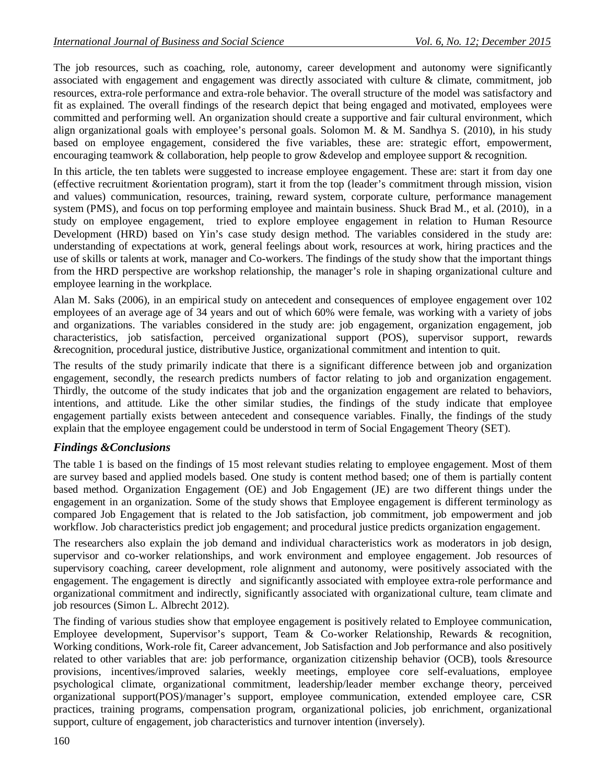The job resources, such as coaching, role, autonomy, career development and autonomy were significantly associated with engagement and engagement was directly associated with culture & climate, commitment, job resources, extra-role performance and extra-role behavior. The overall structure of the model was satisfactory and fit as explained. The overall findings of the research depict that being engaged and motivated, employees were committed and performing well. An organization should create a supportive and fair cultural environment, which align organizational goals with employee's personal goals. Solomon M. & M. Sandhya S. (2010), in his study based on employee engagement, considered the five variables, these are: strategic effort, empowerment, encouraging teamwork & collaboration, help people to grow &develop and employee support & recognition.

In this article, the ten tablets were suggested to increase employee engagement. These are: start it from day one (effective recruitment &orientation program), start it from the top (leader's commitment through mission, vision and values) communication, resources, training, reward system, corporate culture, performance management system (PMS), and focus on top performing employee and maintain business. Shuck Brad M., et al. (2010), in a study on employee engagement, tried to explore employee engagement in relation to Human Resource Development (HRD) based on Yin's case study design method. The variables considered in the study are: understanding of expectations at work, general feelings about work, resources at work, hiring practices and the use of skills or talents at work, manager and Co-workers. The findings of the study show that the important things from the HRD perspective are workshop relationship, the manager's role in shaping organizational culture and employee learning in the workplace.

Alan M. Saks (2006), in an empirical study on antecedent and consequences of employee engagement over 102 employees of an average age of 34 years and out of which 60% were female, was working with a variety of jobs and organizations. The variables considered in the study are: job engagement, organization engagement, job characteristics, job satisfaction, perceived organizational support (POS), supervisor support, rewards &recognition, procedural justice, distributive Justice, organizational commitment and intention to quit.

The results of the study primarily indicate that there is a significant difference between job and organization engagement, secondly, the research predicts numbers of factor relating to job and organization engagement. Thirdly, the outcome of the study indicates that job and the organization engagement are related to behaviors, intentions, and attitude. Like the other similar studies, the findings of the study indicate that employee engagement partially exists between antecedent and consequence variables. Finally, the findings of the study explain that the employee engagement could be understood in term of Social Engagement Theory (SET).

## *Findings &Conclusions*

The table 1 is based on the findings of 15 most relevant studies relating to employee engagement. Most of them are survey based and applied models based. One study is content method based; one of them is partially content based method. Organization Engagement (OE) and Job Engagement (JE) are two different things under the engagement in an organization. Some of the study shows that Employee engagement is different terminology as compared Job Engagement that is related to the Job satisfaction, job commitment, job empowerment and job workflow. Job characteristics predict job engagement; and procedural justice predicts organization engagement.

The researchers also explain the job demand and individual characteristics work as moderators in job design, supervisor and co-worker relationships, and work environment and employee engagement. Job resources of supervisory coaching, career development, role alignment and autonomy, were positively associated with the engagement. The engagement is directly and significantly associated with employee extra-role performance and organizational commitment and indirectly, significantly associated with organizational culture, team climate and job resources (Simon L. Albrecht 2012).

The finding of various studies show that employee engagement is positively related to Employee communication, Employee development, Supervisor's support, Team & Co-worker Relationship, Rewards & recognition, Working conditions, Work-role fit, Career advancement, Job Satisfaction and Job performance and also positively related to other variables that are: job performance, organization citizenship behavior (OCB), tools &resource provisions, incentives/improved salaries, weekly meetings, employee core self-evaluations, employee psychological climate, organizational commitment, leadership/leader member exchange theory, perceived organizational support(POS)/manager's support, employee communication, extended employee care, CSR practices, training programs, compensation program, organizational policies, job enrichment, organizational support, culture of engagement, job characteristics and turnover intention (inversely).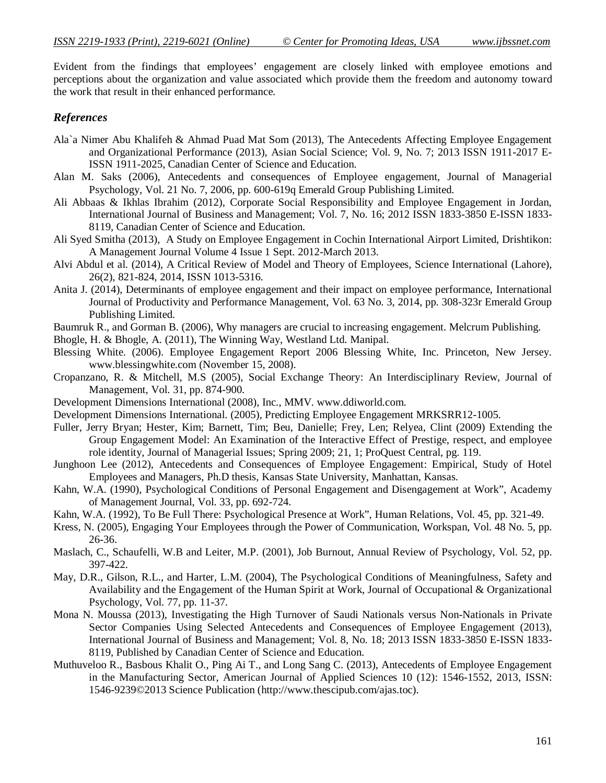Evident from the findings that employees' engagement are closely linked with employee emotions and perceptions about the organization and value associated which provide them the freedom and autonomy toward the work that result in their enhanced performance.

## *References*

- Ala`a Nimer Abu Khalifeh & Ahmad Puad Mat Som (2013), The Antecedents Affecting Employee Engagement and Organizational Performance (2013), Asian Social Science; Vol. 9, No. 7; 2013 ISSN 1911-2017 E-ISSN 1911-2025, Canadian Center of Science and Education.
- Alan M. Saks (2006), Antecedents and consequences of Employee engagement, Journal of Managerial Psychology, Vol. 21 No. 7, 2006, pp. 600-619q Emerald Group Publishing Limited.
- Ali Abbaas & Ikhlas Ibrahim (2012), Corporate Social Responsibility and Employee Engagement in Jordan, International Journal of Business and Management; Vol. 7, No. 16; 2012 ISSN 1833-3850 E-ISSN 1833- 8119, Canadian Center of Science and Education.
- Ali Syed Smitha (2013), A Study on Employee Engagement in Cochin International Airport Limited, Drishtikon: A Management Journal Volume 4 Issue 1 Sept. 2012-March 2013.
- Alvi Abdul et al. (2014), A Critical Review of Model and Theory of Employees, Science International (Lahore), 26(2), 821-824, 2014, ISSN 1013-5316.
- Anita J. (2014), Determinants of employee engagement and their impact on employee performance, International Journal of Productivity and Performance Management, Vol. 63 No. 3, 2014, pp. 308-323r Emerald Group Publishing Limited.
- Baumruk R., and Gorman B. (2006), Why managers are crucial to increasing engagement. Melcrum Publishing.
- Bhogle, H. & Bhogle, A. (2011), The Winning Way, Westland Ltd. Manipal.
- Blessing White. (2006). Employee Engagement Report 2006 Blessing White, Inc. Princeton, New Jersey. www.blessingwhite.com (November 15, 2008).
- Cropanzano, R. & Mitchell, M.S (2005), Social Exchange Theory: An Interdisciplinary Review, Journal of Management, Vol. 31, pp. 874-900.
- Development Dimensions International (2008), Inc., MMV. www.ddiworld.com.
- Development Dimensions International. (2005), Predicting Employee Engagement MRKSRR12-1005.
- Fuller, Jerry Bryan; Hester, Kim; Barnett, Tim; Beu, Danielle; Frey, Len; Relyea, Clint (2009) Extending the Group Engagement Model: An Examination of the Interactive Effect of Prestige, respect, and employee role identity, Journal of Managerial Issues; Spring 2009; 21, 1; ProQuest Central, pg. 119.
- Junghoon Lee (2012), Antecedents and Consequences of Employee Engagement: Empirical, Study of Hotel Employees and Managers, Ph.D thesis, Kansas State University, Manhattan, Kansas.
- Kahn, W.A. (1990), Psychological Conditions of Personal Engagement and Disengagement at Work", Academy of Management Journal, Vol. 33, pp. 692-724.
- Kahn, W.A. (1992), To Be Full There: Psychological Presence at Work", Human Relations, Vol. 45, pp. 321-49.
- Kress, N. (2005), Engaging Your Employees through the Power of Communication, Workspan, Vol. 48 No. 5, pp. 26-36.
- Maslach, C., Schaufelli, W.B and Leiter, M.P. (2001), Job Burnout, Annual Review of Psychology, Vol. 52, pp. 397-422.
- May, D.R., Gilson, R.L., and Harter, L.M. (2004), The Psychological Conditions of Meaningfulness, Safety and Availability and the Engagement of the Human Spirit at Work, Journal of Occupational & Organizational Psychology, Vol. 77, pp. 11-37.
- Mona N. Moussa (2013), Investigating the High Turnover of Saudi Nationals versus Non-Nationals in Private Sector Companies Using Selected Antecedents and Consequences of Employee Engagement (2013), International Journal of Business and Management; Vol. 8, No. 18; 2013 ISSN 1833-3850 E-ISSN 1833- 8119, Published by Canadian Center of Science and Education.
- Muthuveloo R., Basbous Khalit O., Ping Ai T., and Long Sang C. (2013), Antecedents of Employee Engagement in the Manufacturing Sector, American Journal of Applied Sciences 10 (12): 1546-1552, 2013, ISSN: 1546-9239©2013 Science Publication (http://www.thescipub.com/ajas.toc).